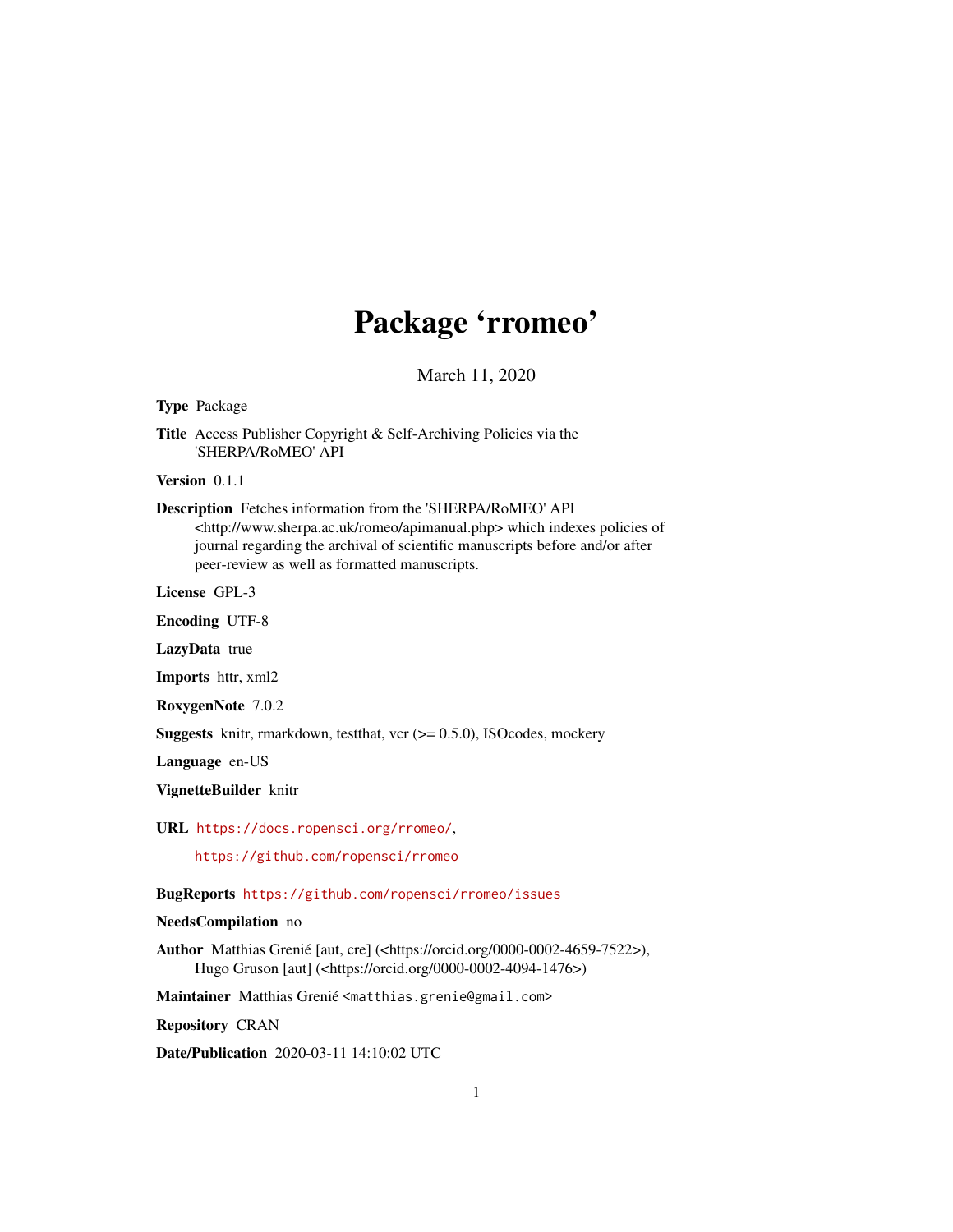## Package 'rromeo'

March 11, 2020

<span id="page-0-0"></span>Type Package

Title Access Publisher Copyright & Self-Archiving Policies via the 'SHERPA/RoMEO' API

Version 0.1.1

Description Fetches information from the 'SHERPA/RoMEO' API

<http://www.sherpa.ac.uk/romeo/apimanual.php> which indexes policies of journal regarding the archival of scientific manuscripts before and/or after peer-review as well as formatted manuscripts.

License GPL-3

Encoding UTF-8

LazyData true

Imports httr, xml2

RoxygenNote 7.0.2

**Suggests** knitr, rmarkdown, testthat, vcr  $(>= 0.5.0)$ , ISOcodes, mockery

Language en-US

VignetteBuilder knitr

URL <https://docs.ropensci.org/rromeo/>,

<https://github.com/ropensci/rromeo>

BugReports <https://github.com/ropensci/rromeo/issues>

#### NeedsCompilation no

Author Matthias Grenié [aut, cre] (<https://orcid.org/0000-0002-4659-7522>), Hugo Gruson [aut] (<https://orcid.org/0000-0002-4094-1476>)

Maintainer Matthias Grenié <matthias.grenie@gmail.com>

Repository CRAN

Date/Publication 2020-03-11 14:10:02 UTC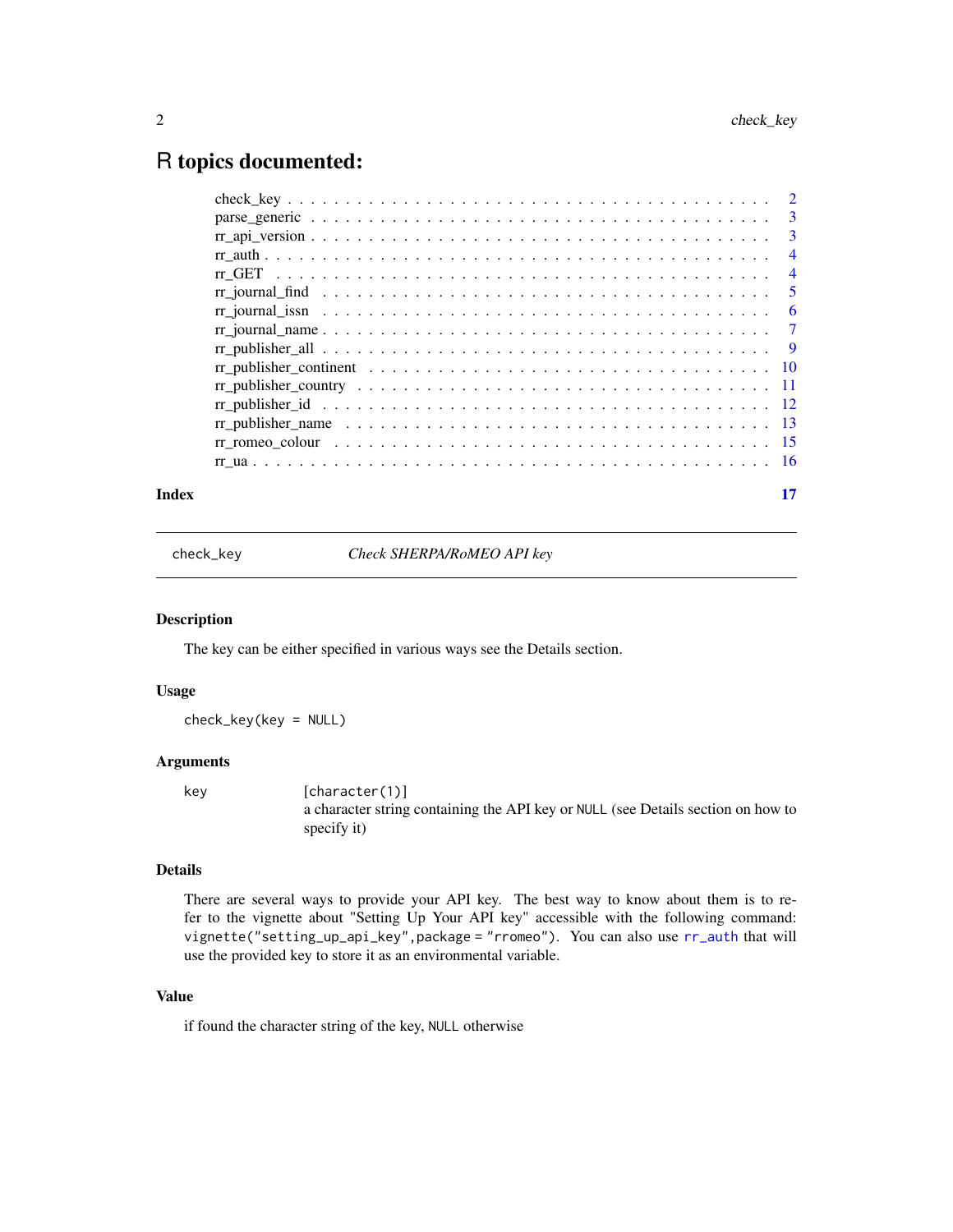### <span id="page-1-0"></span>R topics documented:

| Index | 17 |
|-------|----|
|       |    |

check\_key *Check SHERPA/RoMEO API key*

#### Description

The key can be either specified in various ways see the Details section.

#### Usage

check\_key(key = NULL)

#### Arguments

key [character(1)] a character string containing the API key or NULL (see Details section on how to specify it)

#### Details

There are several ways to provide your API key. The best way to know about them is to refer to the vignette about "Setting Up Your API key" accessible with the following command: vignette("setting\_up\_api\_key",package = "rromeo"). You can also use [rr\\_auth](#page-3-1) that will use the provided key to store it as an environmental variable.

#### Value

if found the character string of the key, NULL otherwise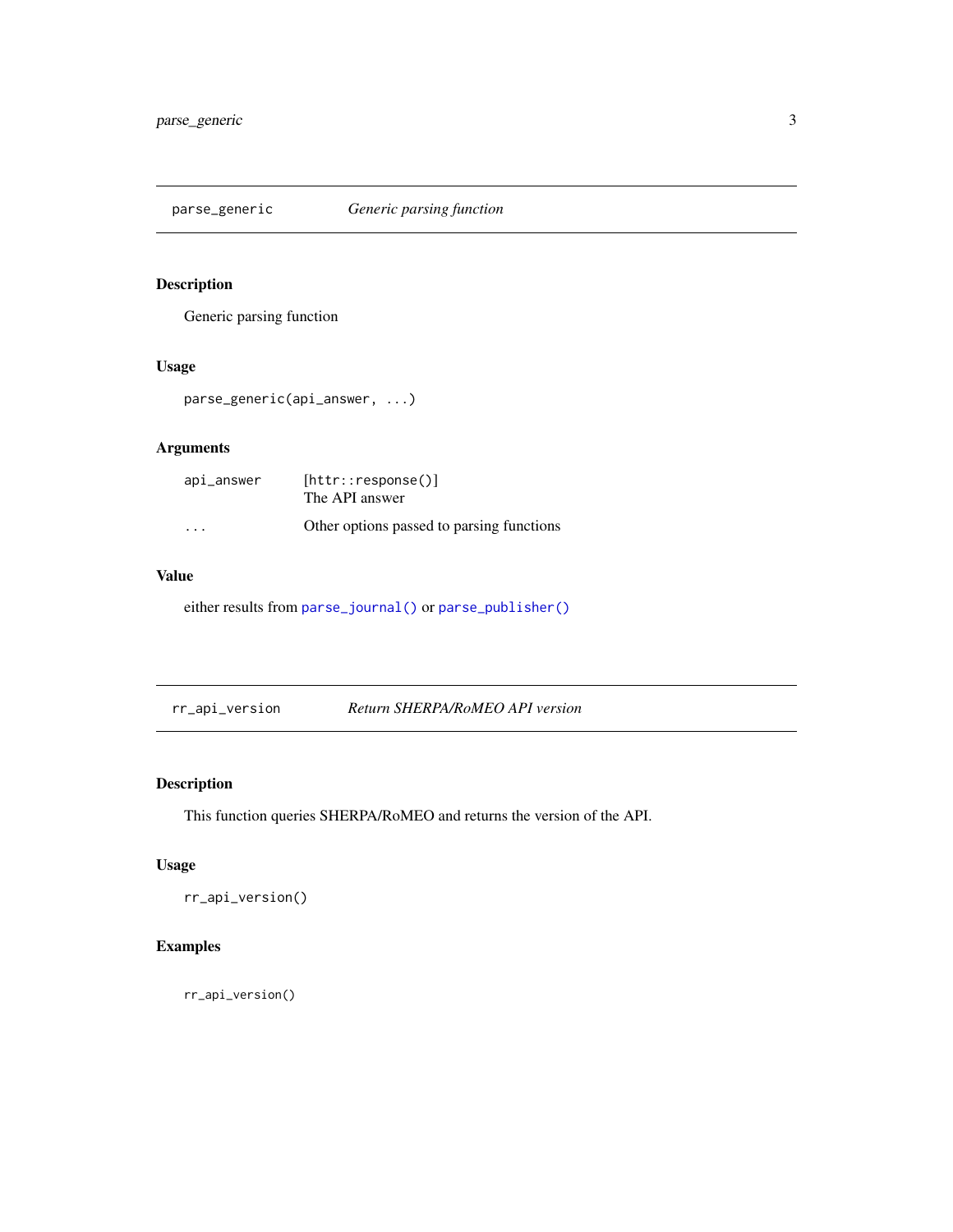<span id="page-2-0"></span>parse\_generic *Generic parsing function*

#### Description

Generic parsing function

#### Usage

parse\_generic(api\_answer, ...)

#### Arguments

| api_answer | [http::response()]<br>The API answer      |
|------------|-------------------------------------------|
| .          | Other options passed to parsing functions |

#### Value

either results from [parse\\_journal\(\)](#page-0-0) or [parse\\_publisher\(\)](#page-0-0)

rr\_api\_version *Return SHERPA/RoMEO API version*

#### Description

This function queries SHERPA/RoMEO and returns the version of the API.

#### Usage

rr\_api\_version()

#### Examples

rr\_api\_version()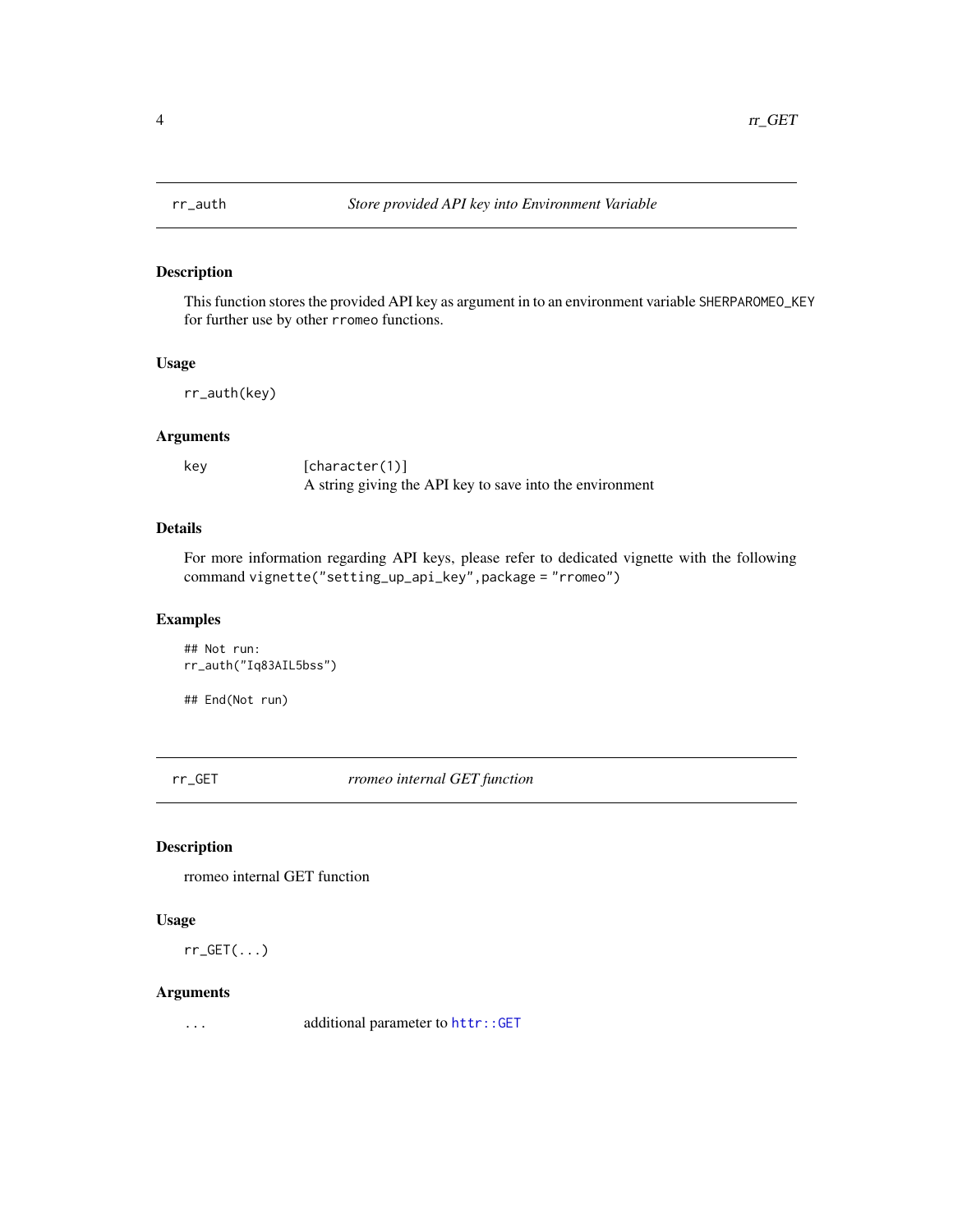<span id="page-3-1"></span><span id="page-3-0"></span>

This function stores the provided API key as argument in to an environment variable SHERPAROMEO\_KEY for further use by other rromeo functions.

#### Usage

rr\_auth(key)

#### Arguments

key [character(1)] A string giving the API key to save into the environment

#### Details

For more information regarding API keys, please refer to dedicated vignette with the following command vignette("setting\_up\_api\_key",package = "rromeo")

#### Examples

## Not run: rr\_auth("Iq83AIL5bss")

## End(Not run)

rr\_GET *rromeo internal GET function*

#### Description

rromeo internal GET function

#### Usage

 $rr_GET(\ldots)$ 

#### Arguments

... additional parameter to [httr::GET](#page-0-0)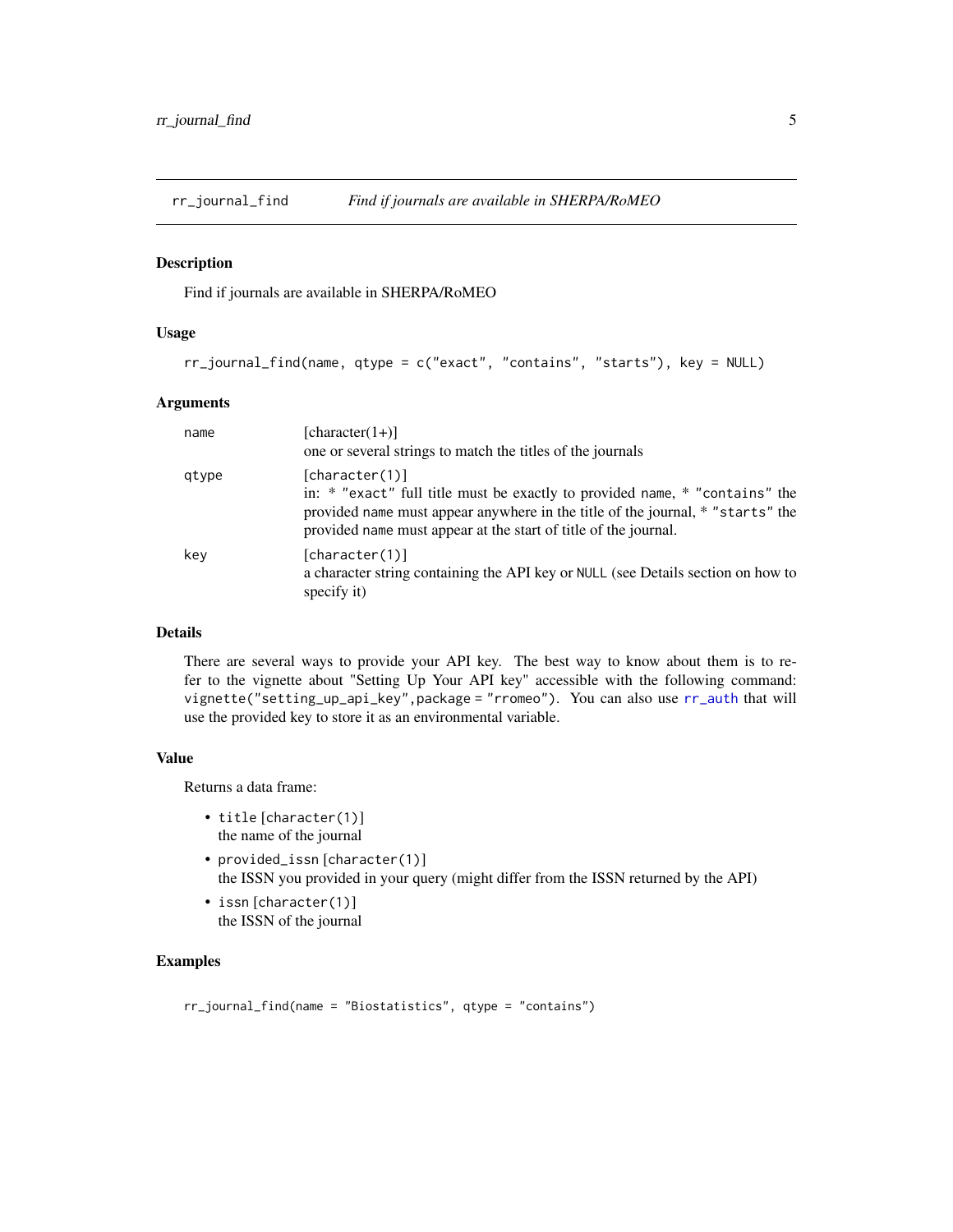<span id="page-4-0"></span>

Find if journals are available in SHERPA/RoMEO

#### Usage

```
rr_journal_find(name, qtype = c("exact", "contains", "starts"), key = NULL)
```
#### Arguments

| name  | $[character(1+)]$<br>one or several strings to match the titles of the journals                                                                                                                                                                    |
|-------|----------------------------------------------------------------------------------------------------------------------------------------------------------------------------------------------------------------------------------------------------|
| gtype | [character(1)]<br>in: * "exact" full title must be exactly to provided name, * "contains" the<br>provided name must appear anywhere in the title of the journal, * "starts" the<br>provided name must appear at the start of title of the journal. |
| key   | [character(1)]<br>a character string containing the API key or NULL (see Details section on how to<br>specify it)                                                                                                                                  |

#### Details

There are several ways to provide your API key. The best way to know about them is to refer to the vignette about "Setting Up Your API key" accessible with the following command: vignette("setting\_up\_api\_key",package = "rromeo"). You can also use [rr\\_auth](#page-3-1) that will use the provided key to store it as an environmental variable.

#### Value

Returns a data frame:

- title [character(1)] the name of the journal
- provided\_issn [character(1)] the ISSN you provided in your query (might differ from the ISSN returned by the API)
- issn [character(1)] the ISSN of the journal

#### Examples

```
rr_journal_find(name = "Biostatistics", qtype = "contains")
```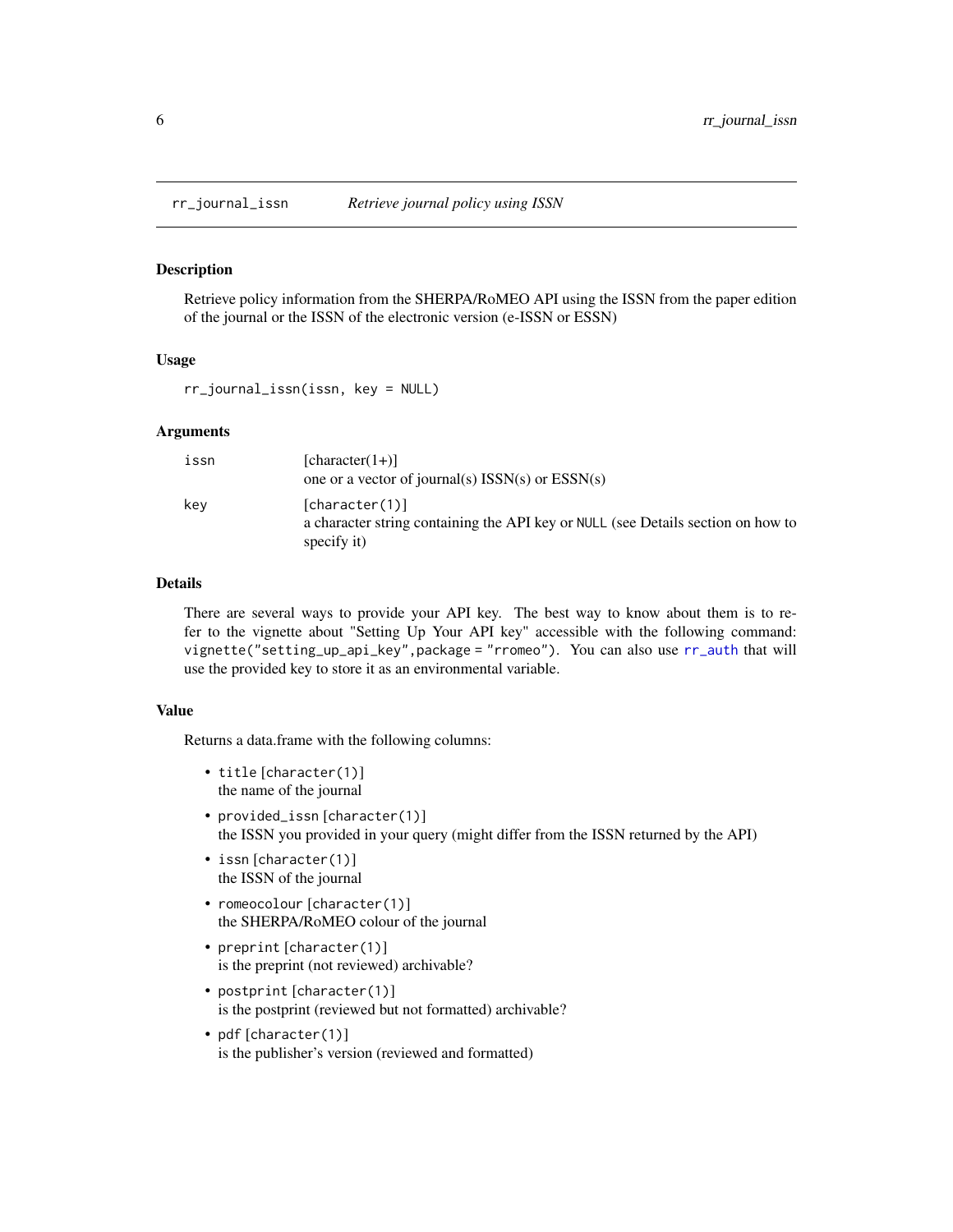<span id="page-5-0"></span>

Retrieve policy information from the SHERPA/RoMEO API using the ISSN from the paper edition of the journal or the ISSN of the electronic version (e-ISSN or ESSN)

#### Usage

rr\_journal\_issn(issn, key = NULL)

#### Arguments

| issn | $[character(1+)]$<br>one or a vector of journal(s) $ISSN(s)$ or $ESSN(s)$                                         |
|------|-------------------------------------------------------------------------------------------------------------------|
| kev  | [character(1)]<br>a character string containing the API key or NULL (see Details section on how to<br>specify it) |

#### Details

There are several ways to provide your API key. The best way to know about them is to refer to the vignette about "Setting Up Your API key" accessible with the following command: vignette("setting\_up\_api\_key",package = "rromeo"). You can also use [rr\\_auth](#page-3-1) that will use the provided key to store it as an environmental variable.

#### Value

Returns a data.frame with the following columns:

- title [character(1)] the name of the journal
- provided\_issn [character(1)] the ISSN you provided in your query (might differ from the ISSN returned by the API)
- issn [character(1)] the ISSN of the journal
- romeocolour [character(1)] the SHERPA/RoMEO colour of the journal
- preprint [character(1)] is the preprint (not reviewed) archivable?
- postprint [character(1)] is the postprint (reviewed but not formatted) archivable?
- pdf [character(1)] is the publisher's version (reviewed and formatted)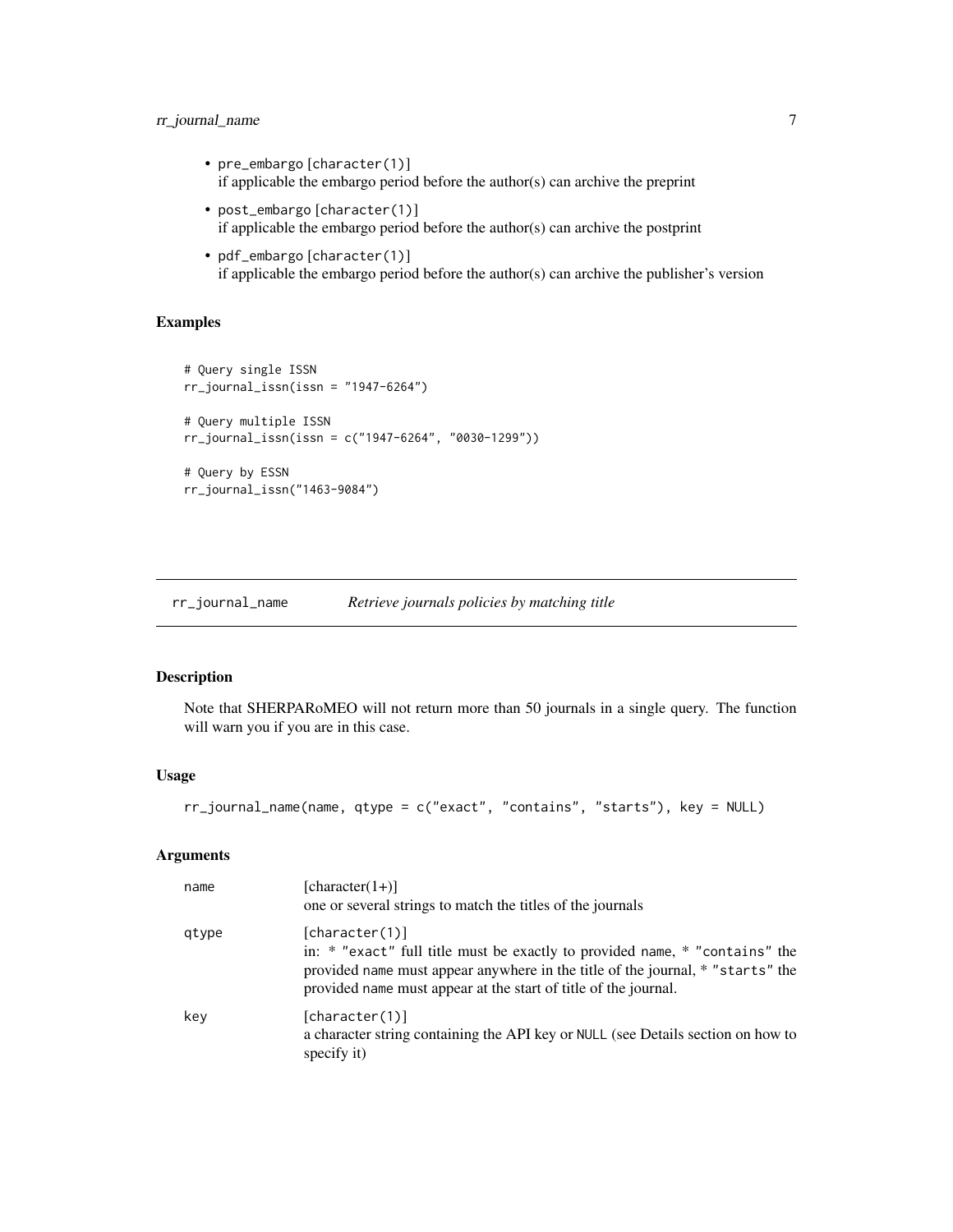#### <span id="page-6-0"></span>rr\_journal\_name 7

- pre\_embargo [character(1)] if applicable the embargo period before the author(s) can archive the preprint
- post\_embargo [character(1)] if applicable the embargo period before the author(s) can archive the postprint
- pdf\_embargo [character(1)] if applicable the embargo period before the author(s) can archive the publisher's version

#### Examples

```
# Query single ISSN
rr_journal_issn(issn = "1947-6264")
# Query multiple ISSN
rr_journal_issn(issn = c("1947-6264", "0030-1299"))
# Query by ESSN
rr_journal_issn("1463-9084")
```
<span id="page-6-1"></span>rr\_journal\_name *Retrieve journals policies by matching title*

#### Description

Note that SHERPARoMEO will not return more than 50 journals in a single query. The function will warn you if you are in this case.

#### Usage

```
rr_journal_name(name, qtype = c("exact", "contains", "starts"), key = NULL)
```
#### Arguments

| name  | $[character(1+)]$<br>one or several strings to match the titles of the journals                                                                                                                                                                    |
|-------|----------------------------------------------------------------------------------------------------------------------------------------------------------------------------------------------------------------------------------------------------|
| qtype | [character(1)]<br>in: * "exact" full title must be exactly to provided name, * "contains" the<br>provided name must appear anywhere in the title of the journal, * "starts" the<br>provided name must appear at the start of title of the journal. |
| key   | [character(1)]<br>a character string containing the API key or NULL (see Details section on how to<br>specify it)                                                                                                                                  |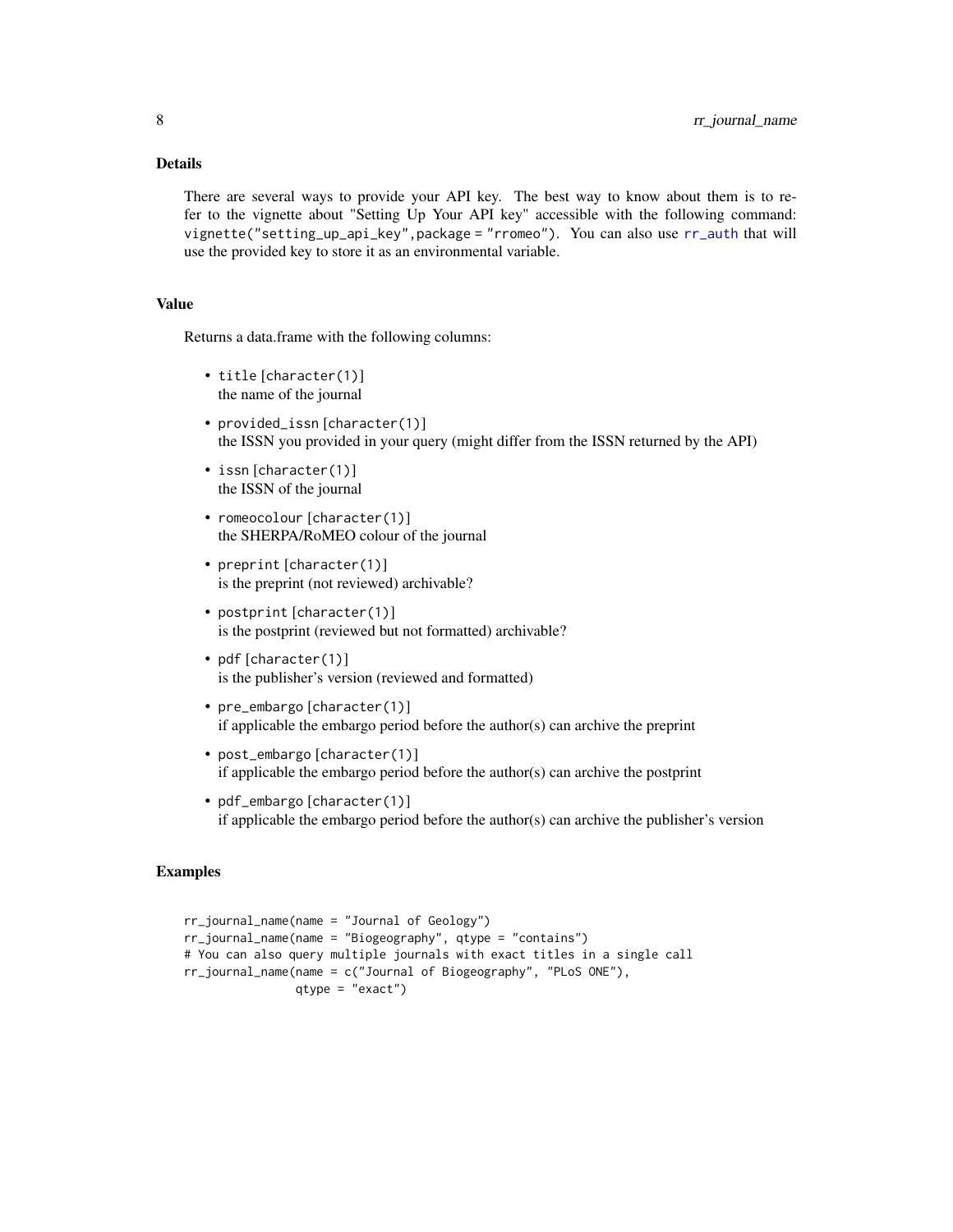#### <span id="page-7-0"></span>Details

There are several ways to provide your API key. The best way to know about them is to refer to the vignette about "Setting Up Your API key" accessible with the following command: vignette("setting\_up\_api\_key",package = "rromeo"). You can also use [rr\\_auth](#page-3-1) that will use the provided key to store it as an environmental variable.

#### Value

Returns a data.frame with the following columns:

- title [character(1)] the name of the journal
- provided\_issn [character(1)] the ISSN you provided in your query (might differ from the ISSN returned by the API)
- issn [character(1)] the ISSN of the journal
- romeocolour [character(1)] the SHERPA/RoMEO colour of the journal
- preprint [character(1)] is the preprint (not reviewed) archivable?
- postprint [character(1)] is the postprint (reviewed but not formatted) archivable?
- pdf [character(1)] is the publisher's version (reviewed and formatted)
- pre\_embargo [character(1)] if applicable the embargo period before the author(s) can archive the preprint
- post\_embargo [character(1)] if applicable the embargo period before the author(s) can archive the postprint
- pdf\_embargo [character(1)] if applicable the embargo period before the author(s) can archive the publisher's version

#### Examples

```
rr_journal_name(name = "Journal of Geology")
rr_journal_name(name = "Biogeography", qtype = "contains")
# You can also query multiple journals with exact titles in a single call
rr_journal_name(name = c("Journal of Biogeography", "PLoS ONE"),
                qtype = "exact")
```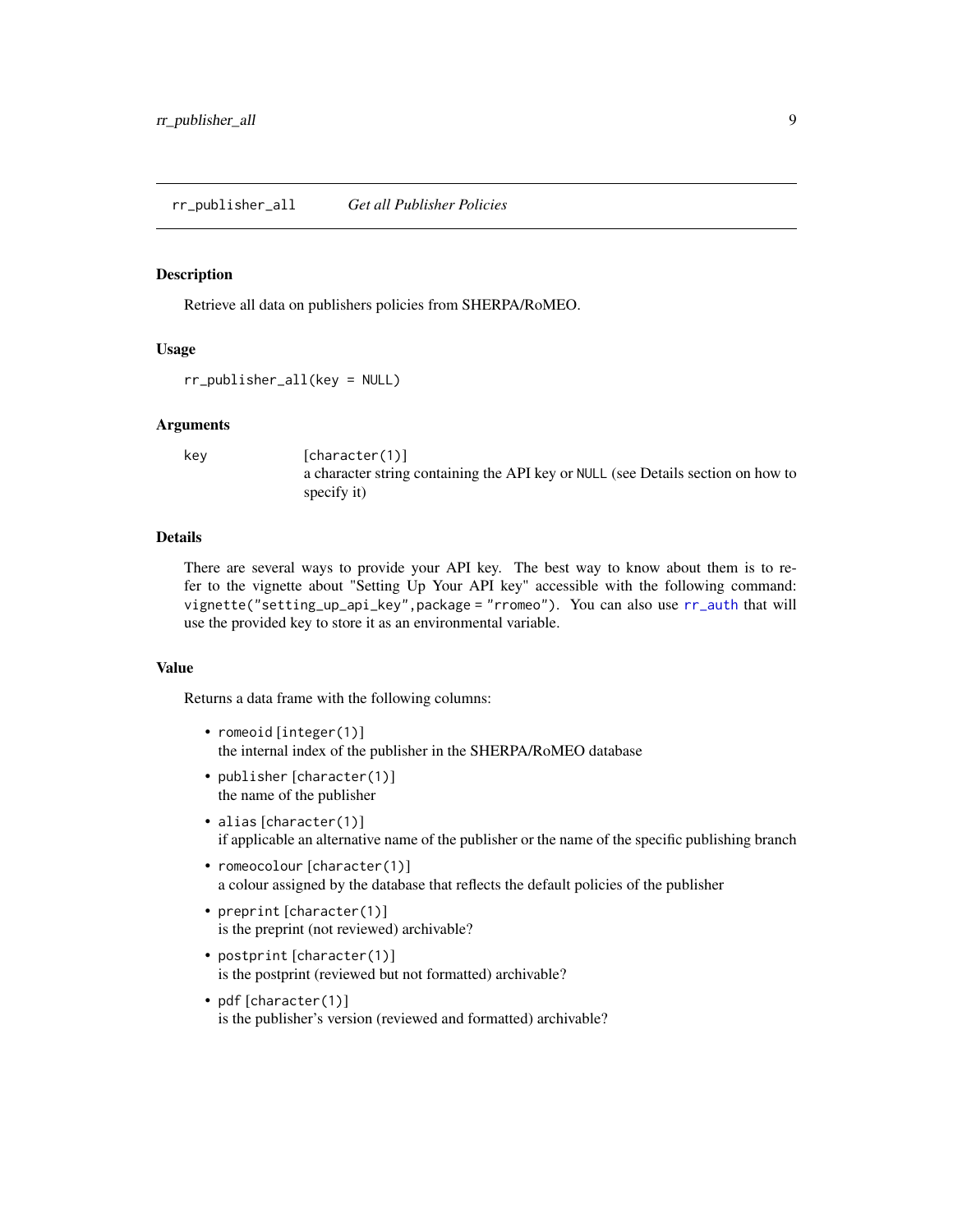<span id="page-8-0"></span>Retrieve all data on publishers policies from SHERPA/RoMEO.

#### Usage

rr\_publisher\_all(key = NULL)

#### Arguments

key [character(1)] a character string containing the API key or NULL (see Details section on how to specify it)

#### Details

There are several ways to provide your API key. The best way to know about them is to refer to the vignette about "Setting Up Your API key" accessible with the following command: vignette("setting\_up\_api\_key",package = "rromeo"). You can also use [rr\\_auth](#page-3-1) that will use the provided key to store it as an environmental variable.

#### Value

Returns a data frame with the following columns:

- romeoid [integer(1)] the internal index of the publisher in the SHERPA/RoMEO database
- publisher [character(1)] the name of the publisher
- alias [character(1)] if applicable an alternative name of the publisher or the name of the specific publishing branch
- romeocolour [character(1)] a colour assigned by the database that reflects the default policies of the publisher
- preprint [character(1)] is the preprint (not reviewed) archivable?
- postprint [character(1)] is the postprint (reviewed but not formatted) archivable?
- pdf [character(1)] is the publisher's version (reviewed and formatted) archivable?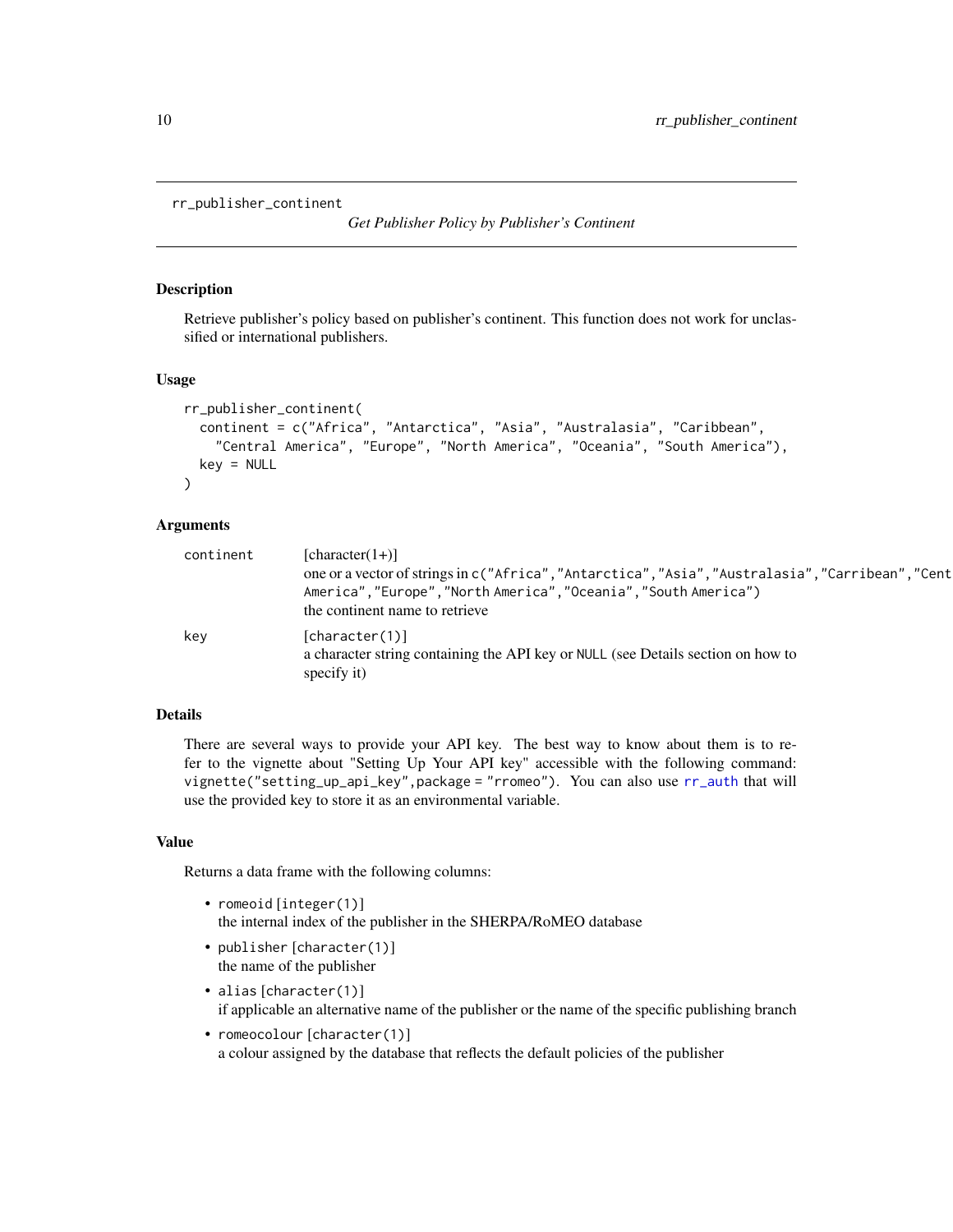```
rr_publisher_continent
```
*Get Publisher Policy by Publisher's Continent*

#### Description

Retrieve publisher's policy based on publisher's continent. This function does not work for unclassified or international publishers.

#### Usage

```
rr_publisher_continent(
  continent = c("Africa", "Antarctica", "Asia", "Australasia", "Caribbean",
    "Central America", "Europe", "North America", "Oceania", "South America"),
 key = NULL\lambda
```
#### Arguments

| continent | $[character(1+)]$<br>one or a vector of strings in c("Africa","Antarctica","Asia","Australasia","Carribean","Cent<br>America", "Europe", "North America", "Oceania", "South America")<br>the continent name to retrieve |
|-----------|-------------------------------------------------------------------------------------------------------------------------------------------------------------------------------------------------------------------------|
| key       | [character(1)]<br>a character string containing the API key or NULL (see Details section on how to<br>specify it)                                                                                                       |

#### Details

There are several ways to provide your API key. The best way to know about them is to refer to the vignette about "Setting Up Your API key" accessible with the following command: vignette("setting\_up\_api\_key",package = "rromeo"). You can also use [rr\\_auth](#page-3-1) that will use the provided key to store it as an environmental variable.

#### Value

Returns a data frame with the following columns:

- romeoid [integer(1)] the internal index of the publisher in the SHERPA/RoMEO database
- publisher [character(1)] the name of the publisher
- alias [character(1)] if applicable an alternative name of the publisher or the name of the specific publishing branch
- romeocolour [character(1)] a colour assigned by the database that reflects the default policies of the publisher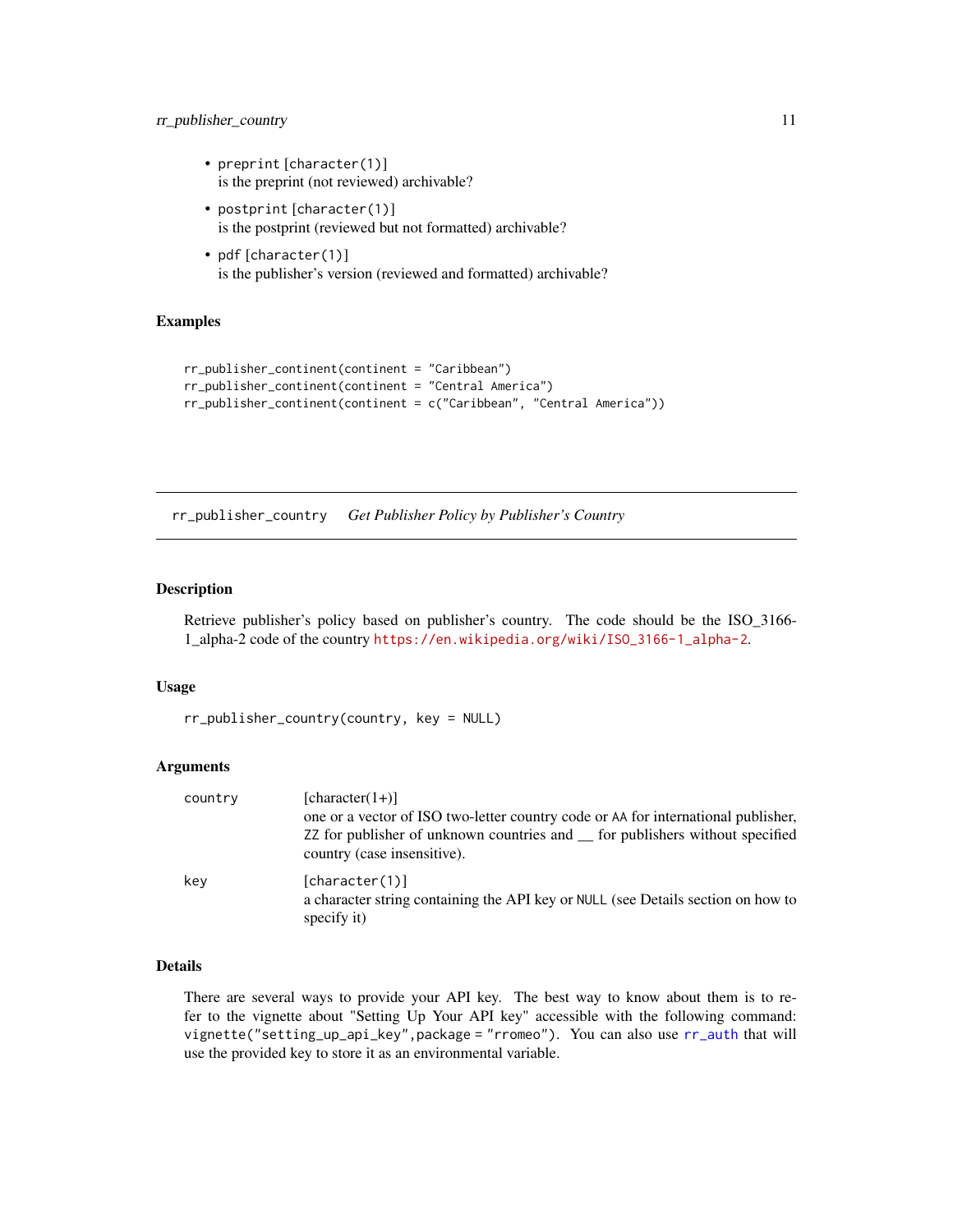#### <span id="page-10-0"></span>rr\_publisher\_country 11

- preprint [character(1)] is the preprint (not reviewed) archivable?
- postprint [character(1)] is the postprint (reviewed but not formatted) archivable?
- pdf [character(1)] is the publisher's version (reviewed and formatted) archivable?

#### Examples

```
rr_publisher_continent(continent = "Caribbean")
rr_publisher_continent(continent = "Central America")
rr_publisher_continent(continent = c("Caribbean", "Central America"))
```
rr\_publisher\_country *Get Publisher Policy by Publisher's Country*

#### Description

Retrieve publisher's policy based on publisher's country. The code should be the ISO\_3166- 1\_alpha-2 code of the country [https://en.wikipedia.org/wiki/ISO\\_3166-1\\_alpha-2](https://en.wikipedia.org/wiki/ISO_3166-1_alpha-2).

#### Usage

```
rr_publisher_country(country, key = NULL)
```
#### Arguments

| country | $[character(1+)]$<br>one or a vector of ISO two-letter country code or AA for international publisher,<br>ZZ for publisher of unknown countries and <u>for</u> publishers without specified<br>country (case insensitive). |
|---------|----------------------------------------------------------------------------------------------------------------------------------------------------------------------------------------------------------------------------|
| key     | [character(1)]<br>a character string containing the API key or NULL (see Details section on how to<br>specify it)                                                                                                          |

#### Details

There are several ways to provide your API key. The best way to know about them is to refer to the vignette about "Setting Up Your API key" accessible with the following command: vignette("setting\_up\_api\_key",package = "rromeo"). You can also use [rr\\_auth](#page-3-1) that will use the provided key to store it as an environmental variable.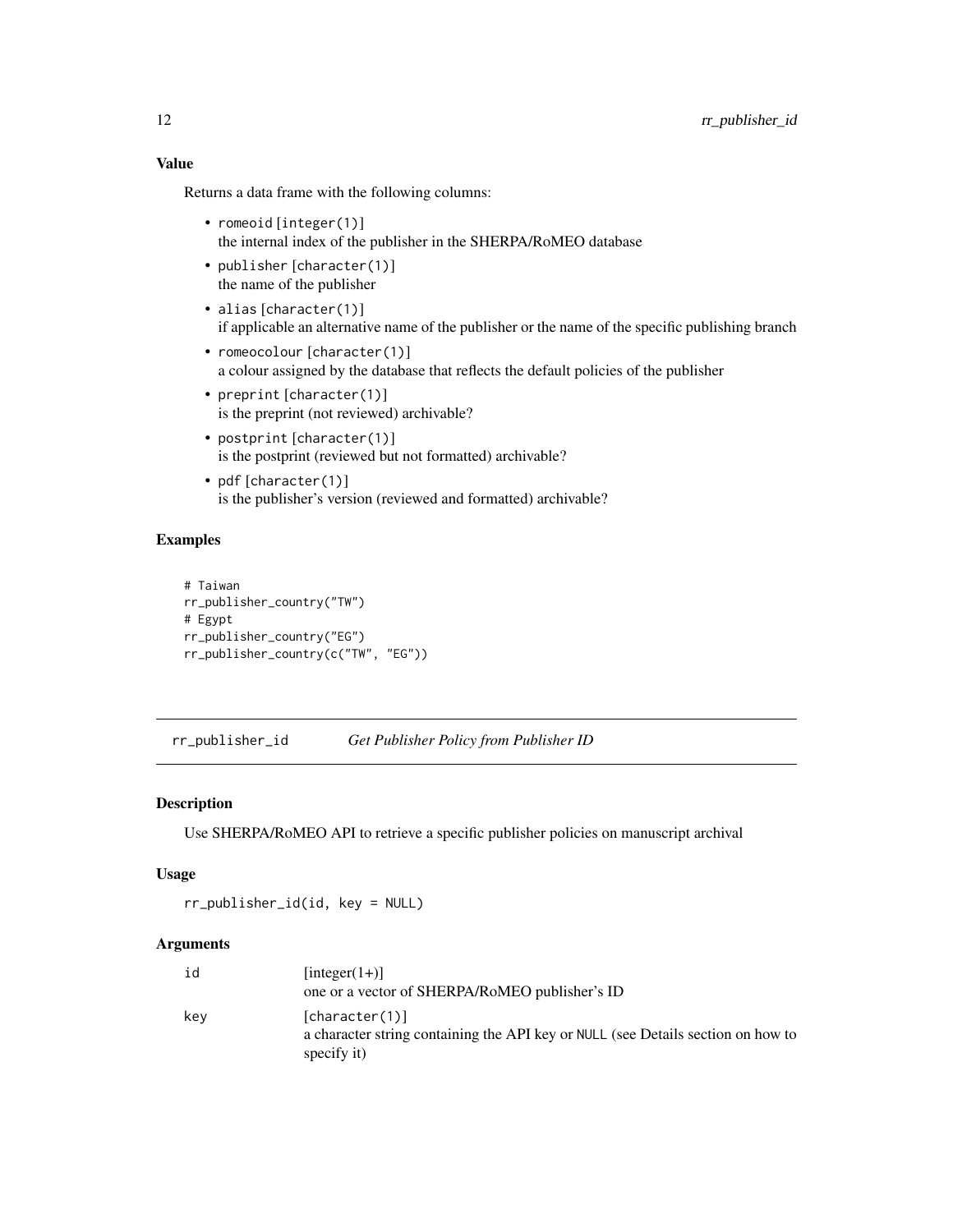<span id="page-11-0"></span>Returns a data frame with the following columns:

- romeoid [integer(1)] the internal index of the publisher in the SHERPA/RoMEO database
- publisher [character(1)] the name of the publisher
- alias [character(1)] if applicable an alternative name of the publisher or the name of the specific publishing branch
- romeocolour [character(1)] a colour assigned by the database that reflects the default policies of the publisher
- preprint [character(1)] is the preprint (not reviewed) archivable?
- postprint [character(1)] is the postprint (reviewed but not formatted) archivable?
- pdf [character(1)] is the publisher's version (reviewed and formatted) archivable?

#### Examples

```
# Taiwan
rr_publisher_country("TW")
# Egypt
rr_publisher_country("EG")
rr_publisher_country(c("TW", "EG"))
```
<span id="page-11-1"></span>rr\_publisher\_id *Get Publisher Policy from Publisher ID*

#### Description

Use SHERPA/RoMEO API to retrieve a specific publisher policies on manuscript archival

#### Usage

rr\_publisher\_id(id, key = NULL)

#### Arguments

| id  | $[integer(1+)]$<br>one or a vector of SHERPA/RoMEO publisher's ID                                                 |
|-----|-------------------------------------------------------------------------------------------------------------------|
| kev | [character(1)]<br>a character string containing the API key or NULL (see Details section on how to<br>specify it) |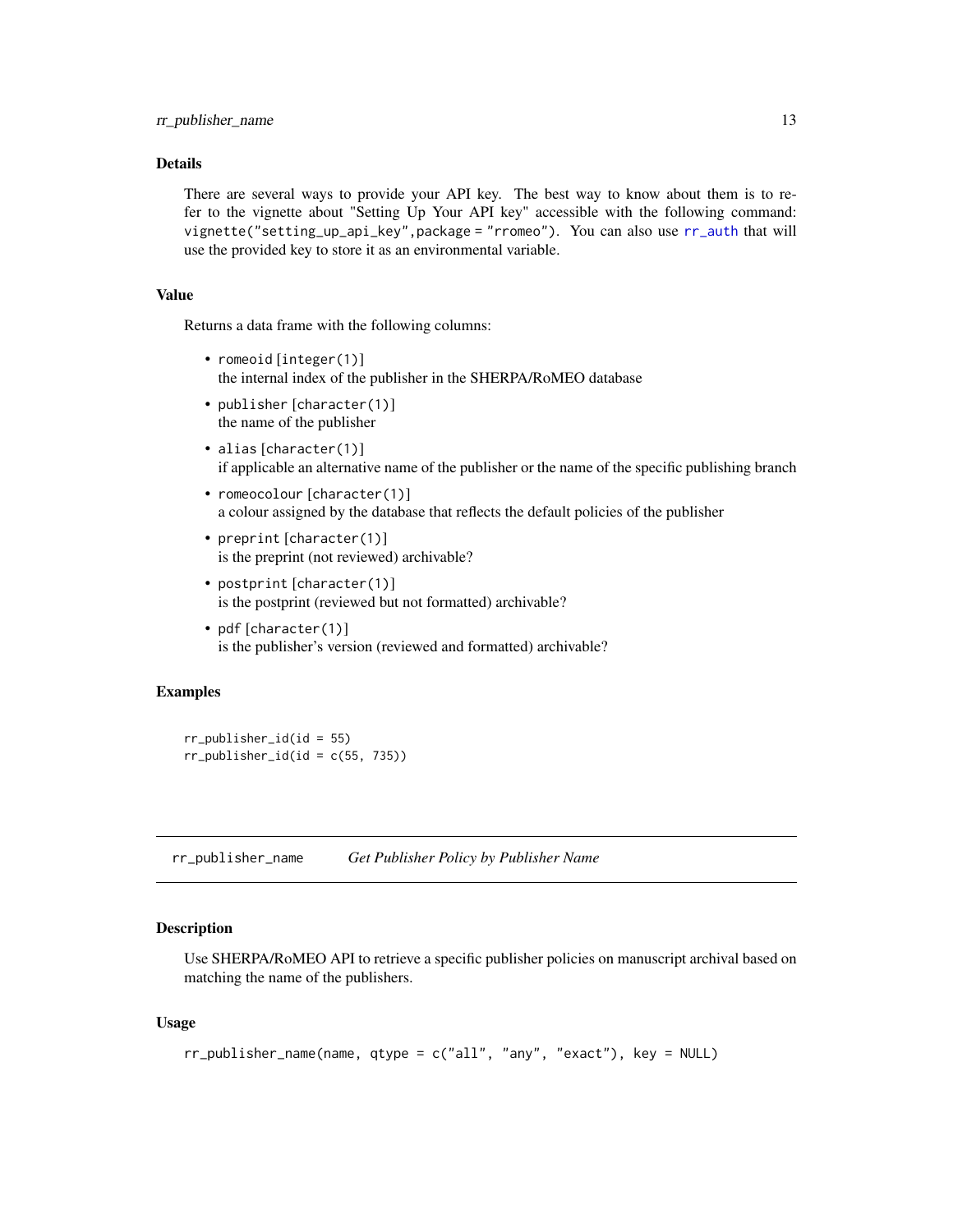#### <span id="page-12-0"></span>Details

There are several ways to provide your API key. The best way to know about them is to refer to the vignette about "Setting Up Your API key" accessible with the following command: vignette("setting\_up\_api\_key",package = "rromeo"). You can also use [rr\\_auth](#page-3-1) that will use the provided key to store it as an environmental variable.

#### Value

Returns a data frame with the following columns:

- romeoid [integer(1)] the internal index of the publisher in the SHERPA/RoMEO database
- publisher [character(1)] the name of the publisher
- alias [character(1)] if applicable an alternative name of the publisher or the name of the specific publishing branch
- romeocolour [character(1)] a colour assigned by the database that reflects the default policies of the publisher
- preprint [character(1)] is the preprint (not reviewed) archivable?
- postprint [character(1)] is the postprint (reviewed but not formatted) archivable?
- pdf [character(1)] is the publisher's version (reviewed and formatted) archivable?

#### Examples

```
rr\_publicher_id(id = 55)rr\_publicher_id(id = c(55, 735))
```
rr\_publisher\_name *Get Publisher Policy by Publisher Name*

#### **Description**

Use SHERPA/RoMEO API to retrieve a specific publisher policies on manuscript archival based on matching the name of the publishers.

#### Usage

```
rr_publisher_name(name, qtype = c("all", "any", "exact"), key = NULL)
```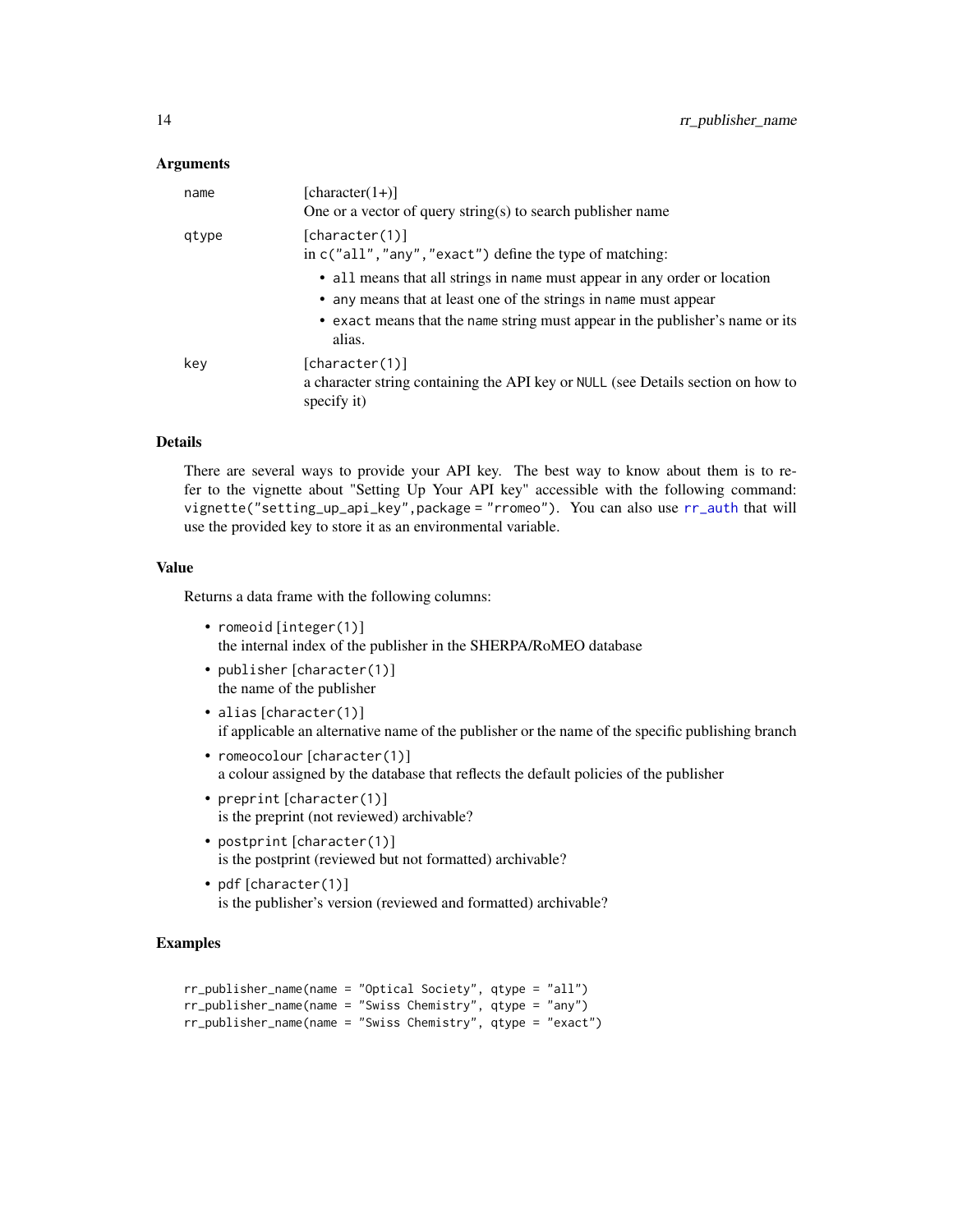#### <span id="page-13-0"></span>Arguments

| name  | [character $(1+)$ ]<br>One or a vector of query string(s) to search publisher name                                                                                                                                                       |
|-------|------------------------------------------------------------------------------------------------------------------------------------------------------------------------------------------------------------------------------------------|
| gtype | [character(1)]<br>in $c("all", "any", "exact")$ define the type of matching:                                                                                                                                                             |
|       | • all means that all strings in name must appear in any order or location<br>• any means that at least one of the strings in name must appear<br>• exact means that the name string must appear in the publisher's name or its<br>alias. |
| key   | [character(1)]<br>a character string containing the API key or NULL (see Details section on how to<br>specify it)                                                                                                                        |

#### Details

There are several ways to provide your API key. The best way to know about them is to refer to the vignette about "Setting Up Your API key" accessible with the following command: vignette("setting\_up\_api\_key",package = "rromeo"). You can also use [rr\\_auth](#page-3-1) that will use the provided key to store it as an environmental variable.

#### Value

Returns a data frame with the following columns:

- romeoid [integer(1)] the internal index of the publisher in the SHERPA/RoMEO database
- publisher [character(1)] the name of the publisher
- alias [character(1)] if applicable an alternative name of the publisher or the name of the specific publishing branch
- romeocolour [character(1)] a colour assigned by the database that reflects the default policies of the publisher
- preprint [character(1)] is the preprint (not reviewed) archivable?
- postprint [character(1)] is the postprint (reviewed but not formatted) archivable?
- pdf [character(1)] is the publisher's version (reviewed and formatted) archivable?

#### Examples

```
rr_publisher_name(name = "Optical Society", qtype = "all")
rr_publisher_name(name = "Swiss Chemistry", qtype = "any")
rr_publisher_name(name = "Swiss Chemistry", qtype = "exact")
```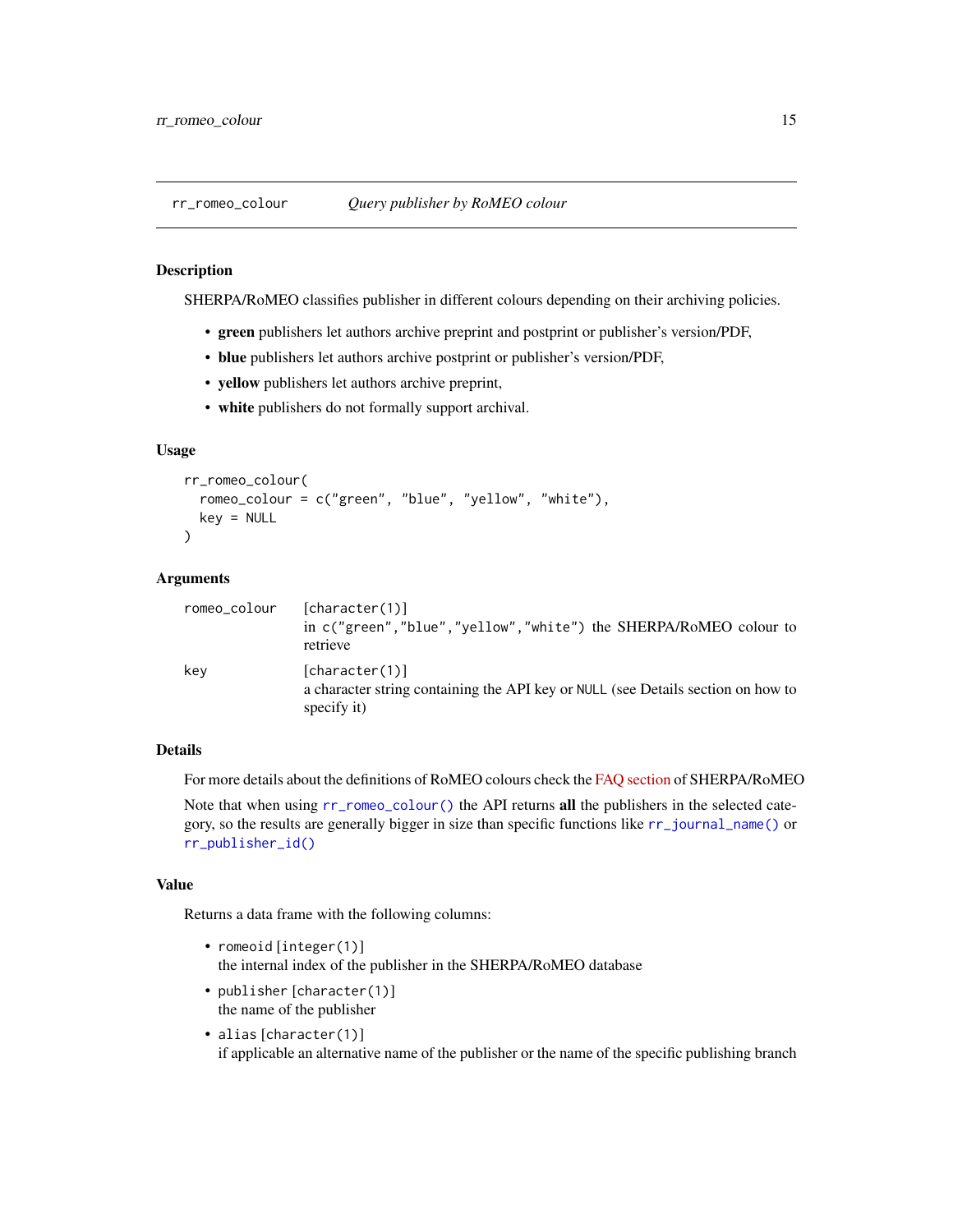<span id="page-14-1"></span><span id="page-14-0"></span>

SHERPA/RoMEO classifies publisher in different colours depending on their archiving policies.

- green publishers let authors archive preprint and postprint or publisher's version/PDF,
- blue publishers let authors archive postprint or publisher's version/PDF,
- yellow publishers let authors archive preprint,
- white publishers do not formally support archival.

#### Usage

```
rr_romeo_colour(
  romeo_colour = c("green", "blue", "yellow", "white"),
 key = NULL
)
```
#### Arguments

| romeo_colour | [character(1)]<br>in c("green", "blue", "yellow", "white") the SHERPA/RoMEO colour to<br>retrieve                 |
|--------------|-------------------------------------------------------------------------------------------------------------------|
| key          | [character(1)]<br>a character string containing the API key or NULL (see Details section on how to<br>specify it) |

#### Details

For more details about the definitions of RoMEO colours check the [FAQ section](http://sherpa.ac.uk/romeo/definitions.php#colours) of SHERPA/RoMEO

Note that when using  $rr\_romeo\_colour()$  the API returns all the publishers in the selected category, so the results are generally bigger in size than specific functions like [rr\\_journal\\_name\(\)](#page-6-1) or [rr\\_publisher\\_id\(\)](#page-11-1)

#### Value

Returns a data frame with the following columns:

- romeoid [integer(1)] the internal index of the publisher in the SHERPA/RoMEO database
- publisher [character(1)] the name of the publisher
- alias [character(1)] if applicable an alternative name of the publisher or the name of the specific publishing branch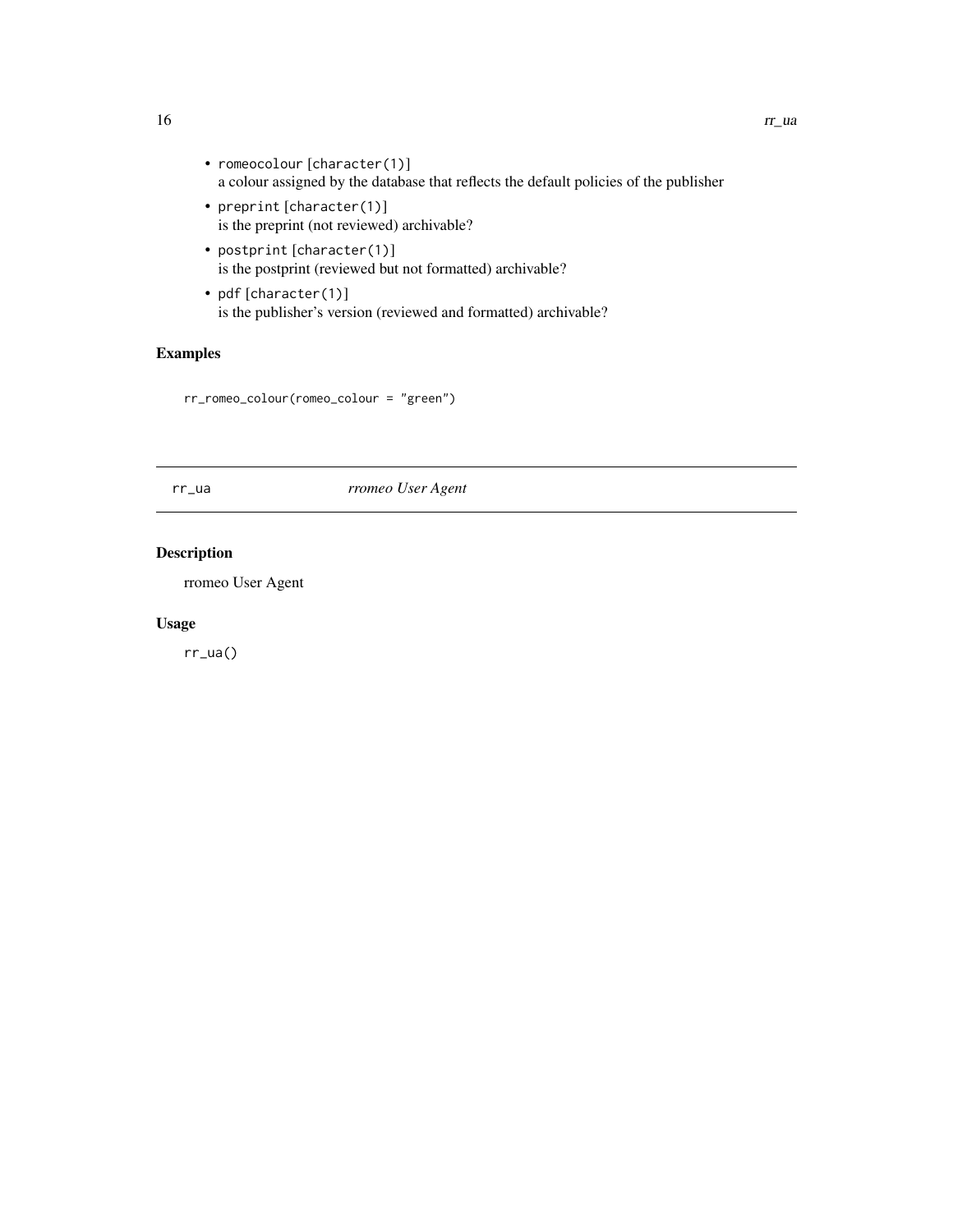- romeocolour [character(1)] a colour assigned by the database that reflects the default policies of the publisher
- preprint [character(1)] is the preprint (not reviewed) archivable?
- postprint [character(1)] is the postprint (reviewed but not formatted) archivable?
- pdf [character(1)] is the publisher's version (reviewed and formatted) archivable?

#### Examples

```
rr_romeo_colour(romeo_colour = "green")
```
rr\_ua *rromeo User Agent*

#### Description

rromeo User Agent

#### Usage

rr\_ua()

<span id="page-15-0"></span> $16$  rr\_ua